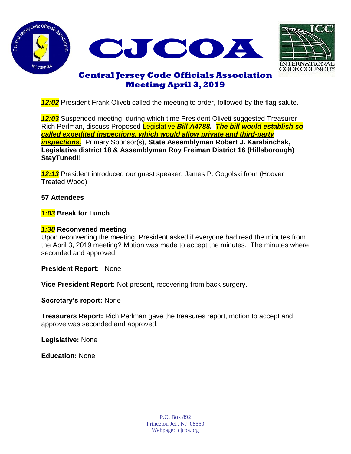





# **Central Jersey Code Officials Association Meeting April 3, 2019**

*12:02* President Frank Oliveti called the meeting to order, followed by the flag salute.

*12:03* Suspended meeting, during which time President Oliveti suggested Treasurer Rich Perlman, discuss Proposed Legislative *Bill A4788. The bill would establish so called expedited inspections, which would allow private and third-party inspections.* Primary Sponsor(s), **State Assemblyman Robert J. Karabinchak, Legislative district 18 & Assemblyman Roy Freiman District 16 (Hillsborough) StayTuned!!** 

*12:13* President introduced our guest speaker: James P. Gogolski from (Hoover Treated Wood)

## **57 Attendees**

## *1:03* **Break for Lunch**

### *1:30* **Reconvened meeting**

Upon reconvening the meeting, President asked if everyone had read the minutes from the April 3, 2019 meeting? Motion was made to accept the minutes. The minutes where seconded and approved.

**President Report:** None

**Vice President Report:** Not present, recovering from back surgery.

**Secretary's report:** None

**Treasurers Report:** Rich Perlman gave the treasures report, motion to accept and approve was seconded and approved.

**Legislative:** None

**Education:** None

P.O. Box 892 Princeton Jct., NJ 08550 Webpage: cjcoa.org